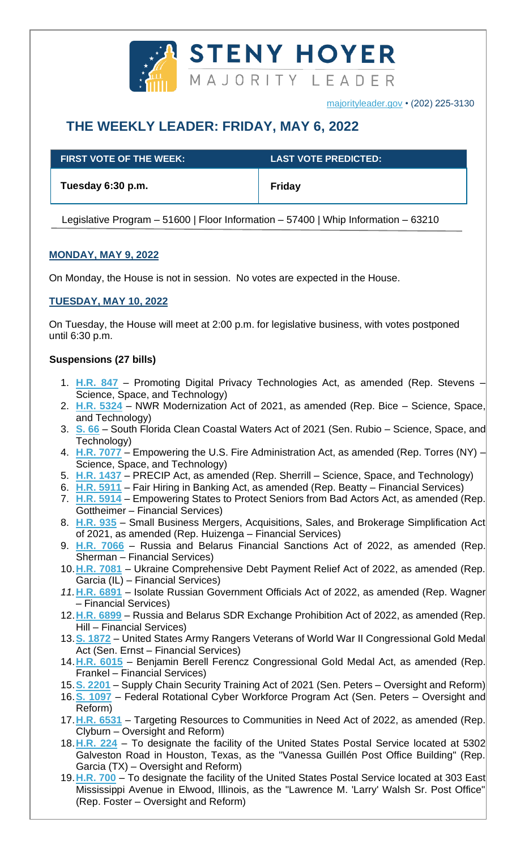

# **THE WEEKLY LEADER: FRIDAY, MAY 6, 2022**

| <b>FIRST VOTE OF THE WEEK:</b> | <b>LAST VOTE PREDICTED:</b> |
|--------------------------------|-----------------------------|
| Tuesday 6:30 p.m.              | Friday                      |

Legislative Program – 51600 | Floor Information – 57400 | Whip Information – 63210

# **MONDAY, MAY 9, 2022**

On Monday, the House is not in session. No votes are expected in the House.

# **TUESDAY, MAY 10, 2022**

On Tuesday, the House will meet at 2:00 p.m. for legislative business, with votes postponed until 6:30 p.m.

## **Suspensions (27 bills)**

- 1. **[H.R. 847](https://docs.house.gov/billsthisweek/20220509/BILLS-117hr847-SUS.pdf)** Promoting Digital Privacy Technologies Act, as amended (Rep. Stevens Science, Space, and Technology)
- 2. **[H.R. 5324](https://docs.house.gov/billsthisweek/20220509/BILLS-117hr5324-SUS.pdf)** NWR Modernization Act of 2021, as amended (Rep. Bice Science, Space, and Technology)
- 3. **[S. 66](https://docs.house.gov/billsthisweek/20220509/BILLS-117s66-SUS.pdf)** South Florida Clean Coastal Waters Act of 2021 (Sen. Rubio Science, Space, and Technology)
- 4. **[H.R. 7077](https://docs.house.gov/billsthisweek/20220509/BILLS-117hr7077-SUS.pdf)** Empowering the U.S. Fire Administration Act, as amended (Rep. Torres (NY) Science, Space, and Technology)
- 5. **[H.R. 1437](https://docs.house.gov/billsthisweek/20220509/BILLS-117hr1437-SUS.pdf)** PRECIP Act, as amended (Rep. Sherrill Science, Space, and Technology)
- 6. **[H.R. 5911](https://docs.house.gov/billsthisweek/20220509/BILLS-117hr5911-SUS.pdf)** Fair Hiring in Banking Act, as amended (Rep. Beatty Financial Services)
- 7. **[H.R. 5914](https://docs.house.gov/billsthisweek/20220509/BILLS-117hr5914-SUS.pdf)** Empowering States to Protect Seniors from Bad Actors Act, as amended (Rep. Gottheimer – Financial Services)
- 8. **[H.R.](https://docs.house.gov/billsthisweek/20220509/BILLS-117hr935-SUS.pdf) 935** Small Business Mergers, Acquisitions, Sales, and Brokerage Simplification Act of 2021, as amended (Rep. Huizenga – Financial Services)
- 9. **[H.R. 7066](https://docs.house.gov/billsthisweek/20220509/BILLS-117hr7066-SUS.pdf)** Russia and Belarus Financial Sanctions Act of 2022, as amended (Rep. Sherman – Financial Services)
- 10.**[H.R. 7081](https://docs.house.gov/billsthisweek/20220509/BILLS-117hr7081-SUS.pdf)** Ukraine Comprehensive Debt Payment Relief Act of 2022, as amended (Rep. Garcia (IL) – Financial Services)
- *11.***[H.R. 6891](https://docs.house.gov/billsthisweek/20220509/BILLS-117hr6891-SUS.pdf)** Isolate Russian Government Officials Act of 2022, as amended (Rep. Wagner – Financial Services)
- 12.**[H.R. 6899](https://docs.house.gov/billsthisweek/20220509/BILLS-117hr6899-SUS.pdf)** Russia and Belarus SDR Exchange Prohibition Act of 2022, as amended (Rep. Hill – Financial Services)
- 13.**[S. 1872](https://docs.house.gov/billsthisweek/20220509/BILLS-117s1872-SUS.pdf)** United States Army Rangers Veterans of World War II Congressional Gold Medal Act (Sen. Ernst – Financial Services)
- 14.**[H.R. 6015](https://docs.house.gov/billsthisweek/20220509/BILLS-117hr6015-SUS.pdf)** Benjamin Berell Ferencz Congressional Gold Medal Act, as amended (Rep. Frankel – Financial Services)
- 15.**[S. 2201](https://docs.house.gov/billsthisweek/20220509/BILLS-117s2201-SUS.pdf)** Supply Chain Security Training Act of 2021 (Sen. Peters Oversight and Reform)
- 16.**[S. 1097](https://docs.house.gov/billsthisweek/20220509/BILLS-117s1097-SUS.pdf)** Federal Rotational Cyber Workforce Program Act (Sen. Peters Oversight and Reform)
- 17.**[H.R. 6531](https://docs.house.gov/billsthisweek/20220509/BILLS-117hr6531-SUS.pdf)** Targeting Resources to Communities in Need Act of 2022, as amended (Rep. Clyburn – Oversight and Reform)
- 18.**[H.R. 224](https://docs.house.gov/billsthisweek/20220509/BILLS-117hr224-SUS.pdf)** To designate the facility of the United States Postal Service located at 5302 Galveston Road in Houston, Texas, as the "Vanessa Guillén Post Office Building" (Rep. Garcia (TX) – Oversight and Reform)
- 19.**[H.R. 700](https://docs.house.gov/billsthisweek/20220509/BILLS-117hr700-SUS.pdf)** To designate the facility of the United States Postal Service located at 303 East Mississippi Avenue in Elwood, Illinois, as the "Lawrence M. 'Larry' Walsh Sr. Post Office" (Rep. Foster – Oversight and Reform)